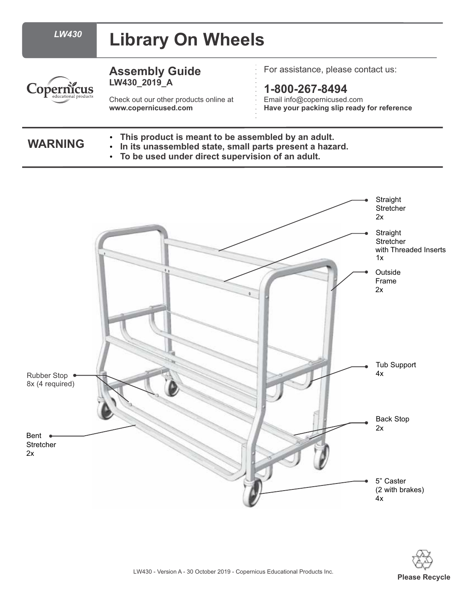| <b>LW430</b>        | <b>Library On Wheels</b>                                                                                                                                                           |                                                                                                     |
|---------------------|------------------------------------------------------------------------------------------------------------------------------------------------------------------------------------|-----------------------------------------------------------------------------------------------------|
| educational product | <b>Assembly Guide</b><br>LW430 2019 A                                                                                                                                              | $\cdot$ For assistance, please contact us:                                                          |
|                     | Check out our other products online at<br>www.copernicused.com                                                                                                                     | $1 - 800 - 267 - 8494$<br>Email info@copernicused.com<br>Have your packing slip ready for reference |
| <b>WARNING</b>      | • This product is meant to be assembled by an adult.<br>In its unassembled state, small parts present a hazard.<br>$\bullet$<br>• To be used under direct supervision of an adult. |                                                                                                     |

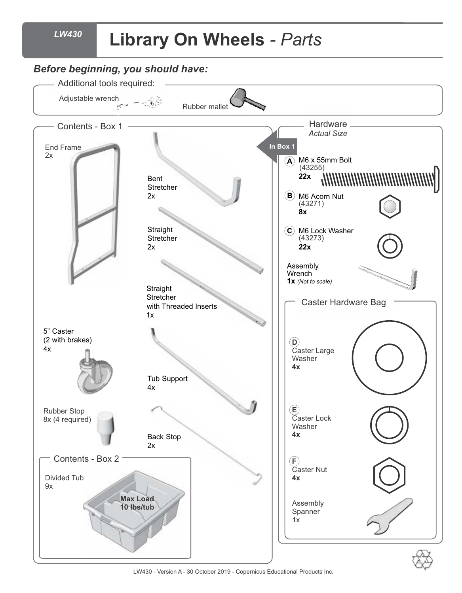#### *LW430*

## **Library On Wheels** *- Parts*



LW430 - Version A - 30 October 2019 - Copernicus Educational Products Inc.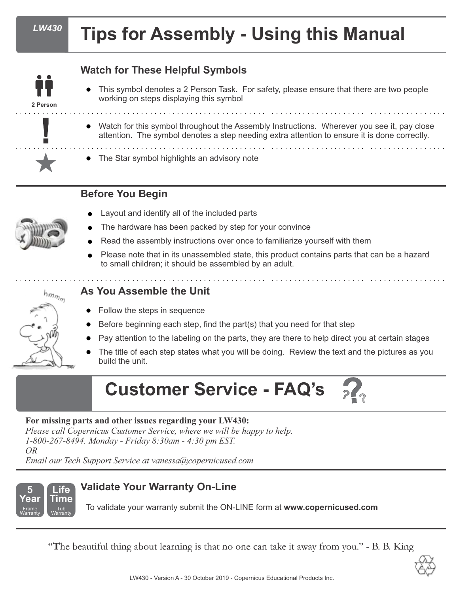**2 Person**

# **Tips for Assembly - Using this Manual**

## **Watch for These Helpful Symbols**

- l This symbol denotes a 2 Person Task. For safety, please ensure that there are two people working on steps displaying this symbol
- l Watch for this symbol throughout the Assembly Instructions. Wherever you see it, pay close attention. The symbol denotes a step needing extra attention to ensure it is done correctly.
	- The Star symbol highlights an advisory note

## **Before You Begin**



- Layout and identify all of the included parts
- The hardware has been packed by step for your convince
- Read the assembly instructions over once to familiarize yourself with them
- Please note that in its unassembled state, this product contains parts that can be a hazard to small children; it should be assembled by an adult.



## **As You Assemble the Unit**

- Follow the steps in sequence
- Before beginning each step, find the part(s) that you need for that step
- l Pay attention to the labeling on the parts, they are there to help direct you at certain stages
- The title of each step states what you will be doing. Review the text and the pictures as you build the unit.

## **??? Customer Service - FAQ's**

#### **For missing parts and other issues regarding your LW430:**

*Please call Copernicus Customer Service, where we will be happy to help. 1-800-267-8494. Monday - Friday 8:30am - 4:30 pm EST. OR*

*Email our Tech Support Service at vanessa@copernicused.com*



## **5 Validate Your Warranty On-Line**

To validate your warranty submit the ON-LINE form at **www.copernicused.com**

"**T**he beautiful thing about learning is that no one can take it away from you." - B. B. King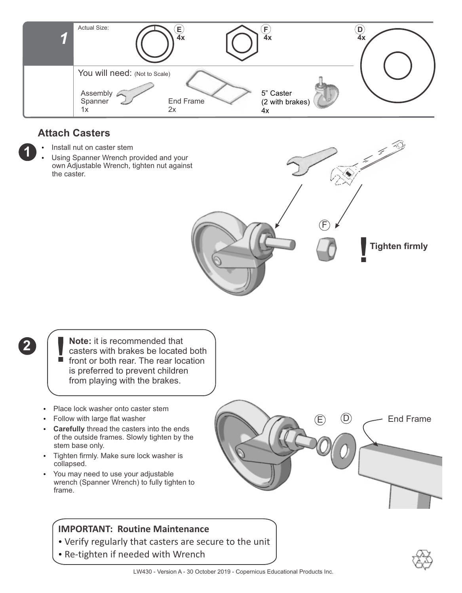

## **Attach Casters**

**1**

**2**

- Install nut on caster stem
- Using Spanner Wrench provided and your own Adjustable Wrench, tighten nut against the caster.



- **Note:** it is recommended that casters with brakes be located both front or both rear. The rear location is preferred to prevent children from playing with the brakes. **!**
- Place lock washer onto caster stem
- Follow with large flat washer
- **Carefully** thread the casters into the ends of the outside frames. Slowly tighten by the stem base only.
- Tighten firmly. Make sure lock washer is collapsed.
- You may need to use your adjustable wrench (Spanner Wrench) to fully tighten to frame.

### **IMPORTANT: Routine Maintenance**

- Verify regularly that casters are secure to the unit
- Re-tighten if needed with Wrench



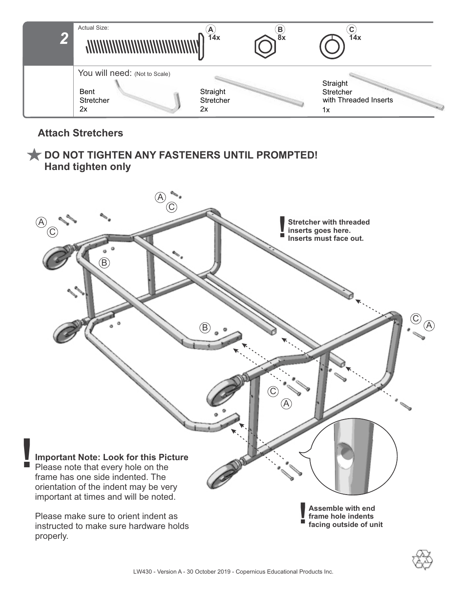

## **Attach Stretchers**

## **DO NOT TIGHTEN ANY FASTENERS UNTIL PROMPTED! Hand tighten only**